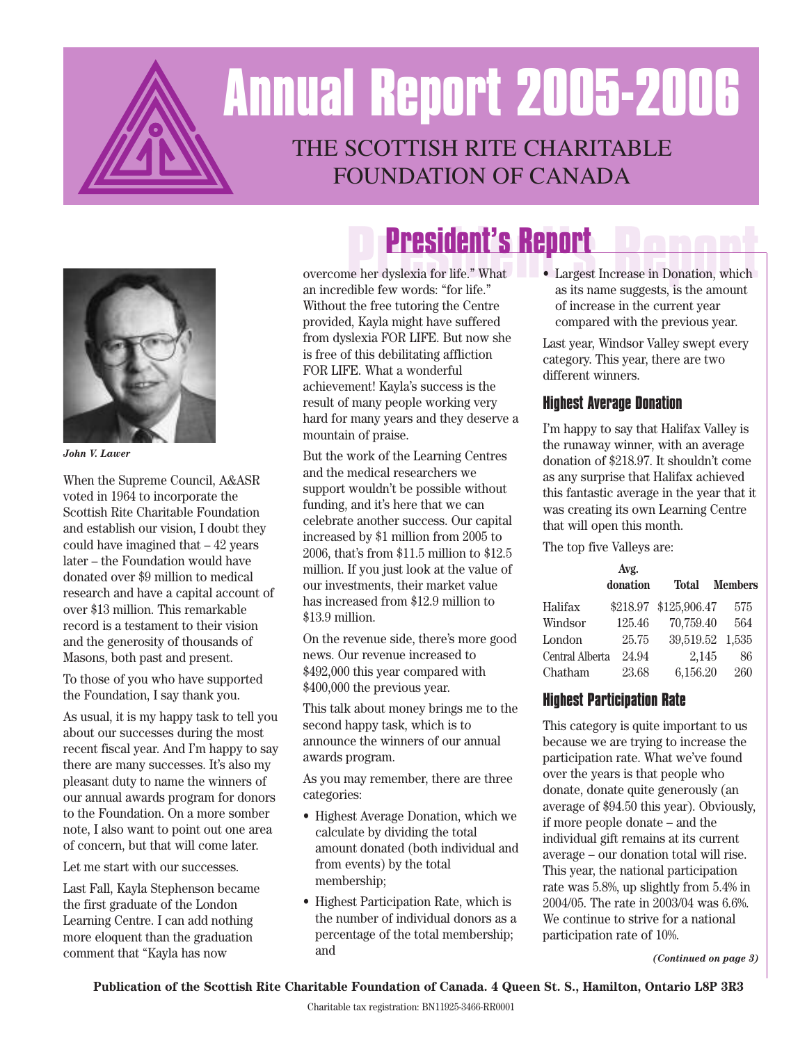## THE SCOTTISH RITE CHARITABLE FOUNDATION OF CANADA **Annual Report 2005-2006**



*John V. Lawer*

When the Supreme Council, A&ASR voted in 1964 to incorporate the Scottish Rite Charitable Foundation and establish our vision, I doubt they could have imagined that – 42 years later – the Foundation would have donated over \$9 million to medical research and have a capital account of over \$13 million. This remarkable record is a testament to their vision and the generosity of thousands of Masons, both past and present.

To those of you who have supported the Foundation, I say thank you.

As usual, it is my happy task to tell you about our successes during the most recent fiscal year. And I'm happy to say there are many successes. It's also my pleasant duty to name the winners of our annual awards program for donors to the Foundation. On a more somber note, I also want to point out one area of concern, but that will come later.

#### Let me start with our successes.

Last Fall, Kayla Stephenson became the first graduate of the London Learning Centre. I can add nothing more eloquent than the graduation comment that "Kayla has now

# P**resident's Report**<br> **President's Report**<br> **President's Report**<br> **President's Report**<br> **President's Report**

overcome her dyslexia for life." What • Largest Increase in Donation, which an incredible few words: "for life." Without the free tutoring the Centre provided, Kayla might have suffered from dyslexia FOR LIFE. But now she is free of this debilitating affliction FOR LIFE. What a wonderful achievement! Kayla's success is the result of many people working very hard for many years and they deserve a mountain of praise.

But the work of the Learning Centres and the medical researchers we support wouldn't be possible without funding, and it's here that we can celebrate another success. Our capital increased by \$1 million from 2005 to 2006, that's from \$11.5 million to \$12.5 million. If you just look at the value of our investments, their market value has increased from \$12.9 million to \$13.9 million.

On the revenue side, there's more good news. Our revenue increased to \$492,000 this year compared with \$400,000 the previous year.

This talk about money brings me to the second happy task, which is to announce the winners of our annual awards program.

As you may remember, there are three categories:

- Highest Average Donation, which we calculate by dividing the total amount donated (both individual and from events) by the total membership;
- Highest Participation Rate, which is the number of individual donors as a percentage of the total membership; and

as its name suggests, is the amount of increase in the current year compared with the previous year.

Last year, Windsor Valley swept every category. This year, there are two different winners.

#### **Highest Average Donation**

I'm happy to say that Halifax Valley is the runaway winner, with an average donation of \$218.97. It shouldn't come as any surprise that Halifax achieved this fantastic average in the year that it was creating its own Learning Centre that will open this month.

The top five Valleys are:

|                 | Avg.<br>donation | <b>Total</b>          | <b>Members</b> |
|-----------------|------------------|-----------------------|----------------|
| Halifax         |                  | \$218.97 \$125,906.47 | 575            |
| Windsor         | 125.46           | 70,759.40             | 564            |
| London          | 25.75            | 39,519.52 1,535       |                |
| Central Alberta | 24.94            | 2,145                 | 86             |
| Chatham         | 23.68            | 6,156.20              | 260            |

#### **Highest Participation Rate**

This category is quite important to us because we are trying to increase the participation rate. What we've found over the years is that people who donate, donate quite generously (an average of \$94.50 this year). Obviously, if more people donate – and the individual gift remains at its current average – our donation total will rise. This year, the national participation rate was 5.8%, up slightly from 5.4% in 2004/05. The rate in 2003/04 was 6.6%. We continue to strive for a national participation rate of 10%.

*(Continued on page 3)*

**Publication of the Scottish Rite Charitable Foundation of Canada. 4 Queen St. S., Hamilton, Ontario L8P 3R3**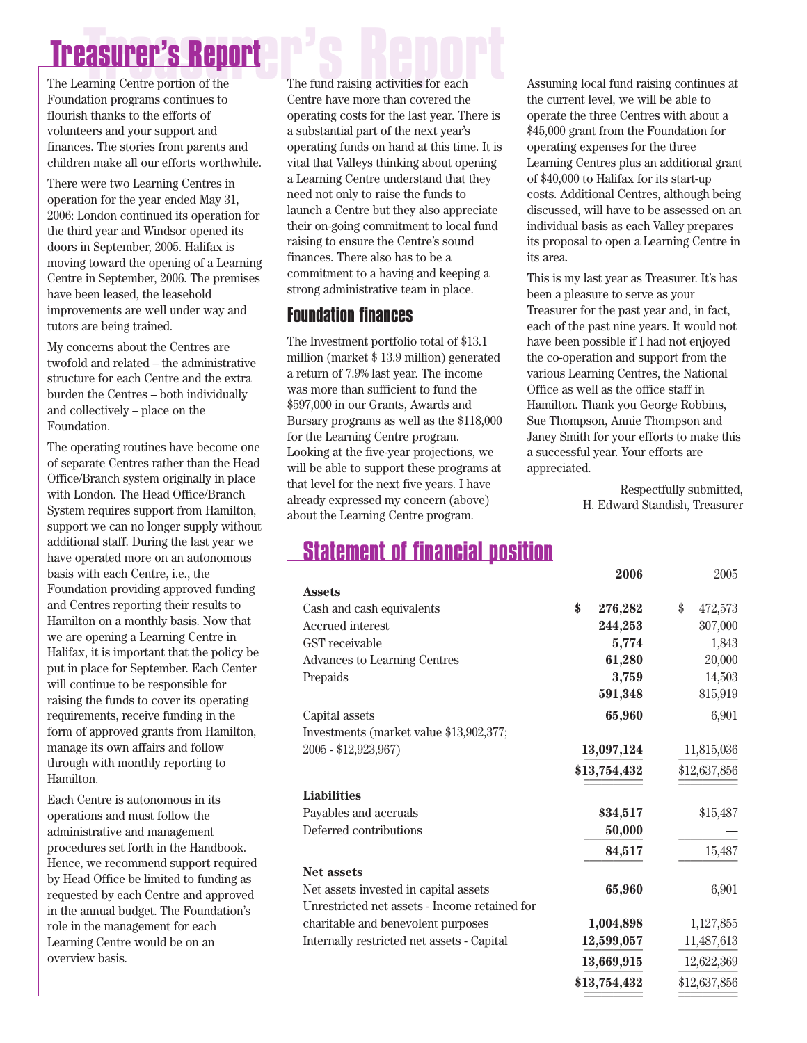## **Treasurer's Report** The fund raising activities for each **Treasurer's Report**

Foundation programs continues to flourish thanks to the efforts of volunteers and your support and finances. The stories from parents and children make all our efforts worthwhile.

There were two Learning Centres in operation for the year ended May 31, 2006: London continued its operation for the third year and Windsor opened its doors in September, 2005. Halifax is moving toward the opening of a Learning Centre in September, 2006. The premises have been leased, the leasehold improvements are well under way and tutors are being trained.

My concerns about the Centres are twofold and related – the administrative structure for each Centre and the extra burden the Centres – both individually and collectively – place on the Foundation.

The operating routines have become one of separate Centres rather than the Head Office/Branch system originally in place with London. The Head Office/Branch System requires support from Hamilton, support we can no longer supply without additional staff. During the last year we have operated more on an autonomous basis with each Centre, i.e., the Foundation providing approved funding and Centres reporting their results to Hamilton on a monthly basis. Now that we are opening a Learning Centre in Halifax, it is important that the policy be put in place for September. Each Center will continue to be responsible for raising the funds to cover its operating requirements, receive funding in the form of approved grants from Hamilton, manage its own affairs and follow through with monthly reporting to Hamilton.

Each Centre is autonomous in its operations and must follow the administrative and management procedures set forth in the Handbook. Hence, we recommend support required by Head Office be limited to funding as requested by each Centre and approved in the annual budget. The Foundation's role in the management for each Learning Centre would be on an overview basis.

The fund raising activities for each Centre have more than covered the operating costs for the last year. There is a substantial part of the next year's operating funds on hand at this time. It is vital that Valleys thinking about opening a Learning Centre understand that they need not only to raise the funds to launch a Centre but they also appreciate their on-going commitment to local fund raising to ensure the Centre's sound finances. There also has to be a commitment to a having and keeping a strong administrative team in place.

### **Foundation finances**

The Investment portfolio total of \$13.1 million (market \$ 13.9 million) generated a return of 7.9% last year. The income was more than sufficient to fund the \$597,000 in our Grants, Awards and Bursary programs as well as the \$118,000 for the Learning Centre program. Looking at the five-year projections, we will be able to support these programs at that level for the next five years. I have already expressed my concern (above) about the Learning Centre program.

Assuming local fund raising continues at the current level, we will be able to operate the three Centres with about a \$45,000 grant from the Foundation for operating expenses for the three Learning Centres plus an additional grant of \$40,000 to Halifax for its start-up costs. Additional Centres, although being discussed, will have to be assessed on an individual basis as each Valley prepares its proposal to open a Learning Centre in its area.

This is my last year as Treasurer. It's has been a pleasure to serve as your Treasurer for the past year and, in fact, each of the past nine years. It would not have been possible if I had not enjoyed the co-operation and support from the various Learning Centres, the National Office as well as the office staff in Hamilton. Thank you George Robbins, Sue Thompson, Annie Thompson and Janey Smith for your efforts to make this a successful year. Your efforts are appreciated.

> Respectfully submitted, H. Edward Standish, Treasurer

> > **2006** 2005

## **Statement of financial position**

|                                               | ⊌vv⊌          | ⊿∪∪ບ          |
|-----------------------------------------------|---------------|---------------|
| <b>Assets</b>                                 |               |               |
| Cash and cash equivalents                     | \$<br>276,282 | 472,573<br>\$ |
| <b>Accrued</b> interest                       | 244,253       | 307,000       |
| GST receivable                                | 5,774         | 1,843         |
| <b>Advances to Learning Centres</b>           | 61,280        | 20,000        |
| Prepaids                                      | 3,759         | 14,503        |
|                                               | 591,348       | 815,919       |
| Capital assets                                | 65,960        | 6,901         |
| Investments (market value \$13,902,377;       |               |               |
| 2005 - \$12,923,967)                          | 13,097,124    | 11,815,036    |
|                                               | \$13,754,432  | \$12,637,856  |
| <b>Liabilities</b>                            |               |               |
| Payables and accruals                         | \$34,517      | \$15,487      |
| Deferred contributions                        | 50,000        |               |
|                                               | 84,517        | 15,487        |
| <b>Net assets</b>                             |               |               |
| Net assets invested in capital assets         | 65,960        | 6,901         |
| Unrestricted net assets - Income retained for |               |               |
| charitable and benevolent purposes            | 1,004,898     | 1,127,855     |
| Internally restricted net assets - Capital    | 12,599,057    | 11,487,613    |
|                                               | 13,669,915    | 12,622,369    |
|                                               | \$13,754,432  | \$12,637,856  |
|                                               |               |               |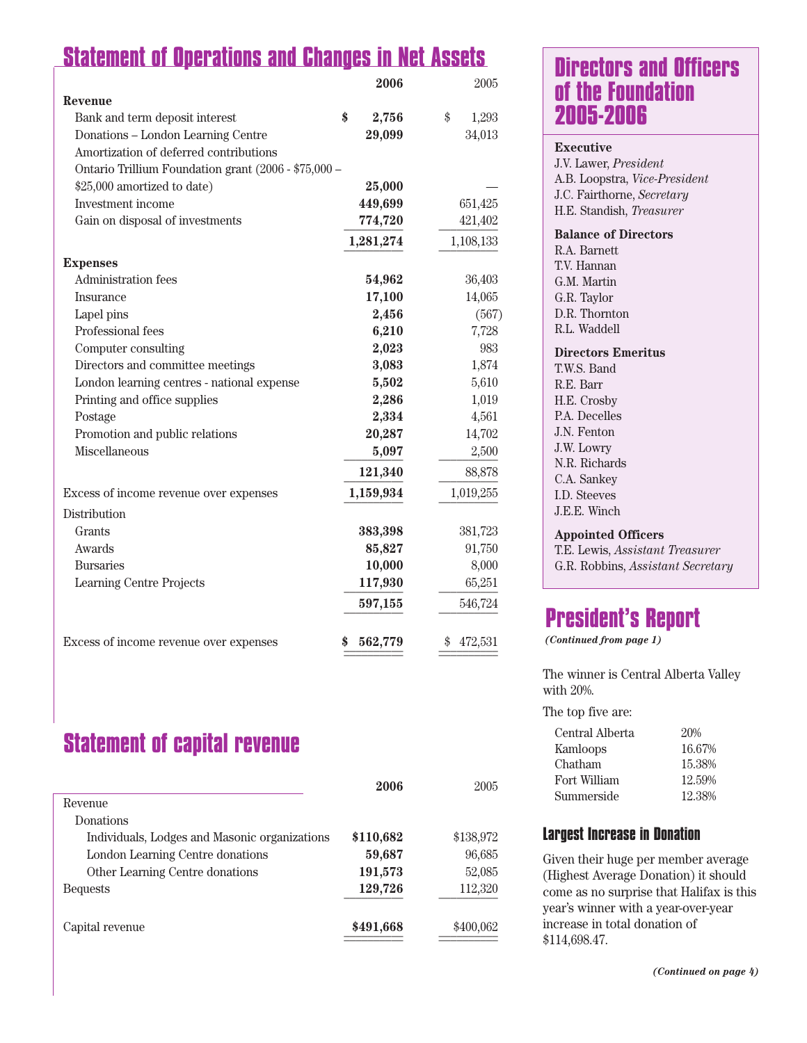## **Statement of Operations and Changes in Net Assets**

|                                                      | 2006        | 2005        |
|------------------------------------------------------|-------------|-------------|
| <b>Revenue</b>                                       |             |             |
| Bank and term deposit interest                       | \$<br>2,756 | \$<br>1,293 |
| Donations - London Learning Centre                   | 29,099      | 34,013      |
| Amortization of deferred contributions               |             |             |
| Ontario Trillium Foundation grant (2006 - \$75,000 - |             |             |
| \$25,000 amortized to date)                          | 25,000      |             |
| Investment income                                    | 449,699     | 651,425     |
| Gain on disposal of investments                      | 774,720     | 421,402     |
|                                                      | 1,281,274   | 1,108,133   |
| <b>Expenses</b>                                      |             |             |
| <b>Administration fees</b>                           | 54,962      | 36,403      |
| Insurance                                            | 17,100      | 14,065      |
| Lapel pins                                           | 2,456       | (567)       |
| Professional fees                                    | 6,210       | 7,728       |
| Computer consulting                                  | 2,023       | 983         |
| Directors and committee meetings                     | 3,083       | 1,874       |
| London learning centres - national expense           | 5,502       | 5,610       |
| Printing and office supplies                         | 2,286       | 1,019       |
| Postage                                              | 2,334       | 4,561       |
| Promotion and public relations                       | 20,287      | 14,702      |
| Miscellaneous                                        | 5,097       | 2,500       |
|                                                      | 121,340     | 88,878      |
| Excess of income revenue over expenses               | 1,159,934   | 1,019,255   |
| Distribution                                         |             |             |
| Grants                                               | 383,398     | 381,723     |
| Awards                                               | 85,827      | 91,750      |
| <b>Bursaries</b>                                     | 10,000      | 8,000       |
| Learning Centre Projects                             | 117,930     | 65,251      |
|                                                      | 597,155     | 546,724     |
| Excess of income revenue over expenses               | 562,779     | 472,531     |
|                                                      |             |             |

## **Statement of capital revenue**

|                                               | 2006      | 2005      |
|-----------------------------------------------|-----------|-----------|
| Revenue                                       |           |           |
| Donations                                     |           |           |
| Individuals, Lodges and Masonic organizations | \$110,682 | \$138,972 |
| London Learning Centre donations              | 59,687    | 96,685    |
| Other Learning Centre donations               | 191,573   | 52,085    |
| <b>Bequests</b>                               | 129,726   | 112,320   |
| Capital revenue                               | \$491,668 | \$400,062 |

## **Directors and Officers of the Foundation 2005-2006**

#### **Executive**

J.V. Lawer, *President* A.B. Loopstra, *Vice-President* J.C. Fairthorne, *Secretary* H.E. Standish, *Treasurer*

**Balance of Directors**

R.A. Barnett T.V. Hannan G.M. Martin G.R. Taylor D.R. Thornton R.L. Waddell

#### **Directors Emeritus**

T.W.S. Band R.E. Barr H.E. Crosby P.A. Decelles J.N. Fenton J.W. Lowry N.R. Richards C.A. Sankey I.D. Steeves J.E.E. Winch

#### **Appointed Officers**

T.E. Lewis, *Assistant Treasurer* G.R. Robbins, *Assistant Secretary*

## **President's Report**

*(Continued from page 1)*

The winner is Central Alberta Valley with 20%.

The top five are:

| 20%    |
|--------|
| 16.67% |
| 15.38% |
| 12.59% |
| 12.38% |
|        |

#### **Largest Increase in Donation**

Given their huge per member average (Highest Average Donation) it should come as no surprise that Halifax is this year's winner with a year-over-year increase in total donation of \$114,698.47.